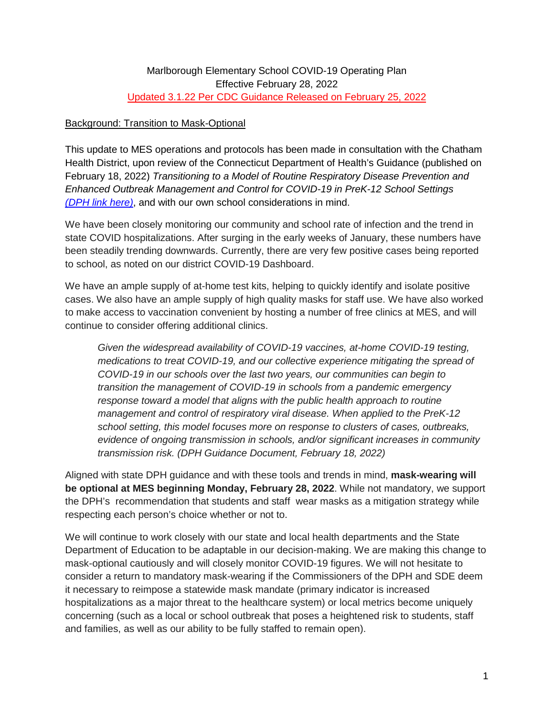### Background: Transition to Mask-Optional

This update to MES operations and protocols has been made in consultation with the Chatham Health District, upon review of the Connecticut Department of Health's Guidance (published on February 18, 2022) *Transitioning to a Model of Routine Respiratory Disease Prevention and Enhanced Outbreak Management and Control for COVID-19 in PreK-12 School Settings [\(DPH link here\)](https://www.marlborough.k12.ct.us/cms/lib/CT02204190/Centricity/Domain/8/PreK-12%20COVID19_Transition%20Routine%20Prevention%20Control_02182022_FINAL.pdf)*, and with our own school considerations in mind.

We have been closely monitoring our community and school rate of infection and the trend in state COVID hospitalizations. After surging in the early weeks of January, these numbers have been steadily trending downwards. Currently, there are very few positive cases being reported to school, as noted on our district COVID-19 Dashboard.

We have an ample supply of at-home test kits, helping to quickly identify and isolate positive cases. We also have an ample supply of high quality masks for staff use. We have also worked to make access to vaccination convenient by hosting a number of free clinics at MES, and will continue to consider offering additional clinics.

*Given the widespread availability of COVID-19 vaccines, at-home COVID-19 testing, medications to treat COVID-19, and our collective experience mitigating the spread of COVID-19 in our schools over the last two years, our communities can begin to transition the management of COVID-19 in schools from a pandemic emergency response toward a model that aligns with the public health approach to routine management and control of respiratory viral disease. When applied to the PreK-12 school setting, this model focuses more on response to clusters of cases, outbreaks, evidence of ongoing transmission in schools, and/or significant increases in community transmission risk. (DPH Guidance Document, February 18, 2022)*

Aligned with state DPH guidance and with these tools and trends in mind, **mask-wearing will be optional at MES beginning Monday, February 28, 2022**. While not mandatory, we support the DPH's recommendation that students and staff wear masks as a mitigation strategy while respecting each person's choice whether or not to.

We will continue to work closely with our state and local health departments and the State Department of Education to be adaptable in our decision-making. We are making this change to mask-optional cautiously and will closely monitor COVID-19 figures. We will not hesitate to consider a return to mandatory mask-wearing if the Commissioners of the DPH and SDE deem it necessary to reimpose a statewide mask mandate (primary indicator is increased hospitalizations as a major threat to the healthcare system) or local metrics become uniquely concerning (such as a local or school outbreak that poses a heightened risk to students, staff and families, as well as our ability to be fully staffed to remain open).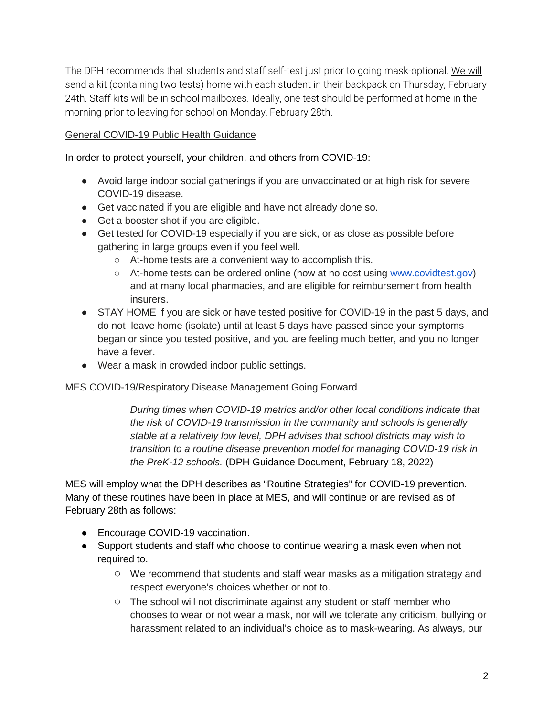The DPH recommends that students and staff self-test just prior to going mask-optional. We will send a kit (containing two tests) home with each student in their backpack on Thursday, February 24th. Staff kits will be in school mailboxes. Ideally, one test should be performed at home in the morning prior to leaving for school on Monday, February 28th.

## General COVID-19 Public Health Guidance

In order to protect yourself, your children, and others from COVID-19:

- Avoid large indoor social gatherings if you are unvaccinated or at high risk for severe COVID-19 disease.
- Get vaccinated if you are eligible and have not already done so.
- Get a booster shot if you are eligible.
- Get tested for COVID-19 especially if you are sick, or as close as possible before gathering in large groups even if you feel well.
	- At-home tests are a convenient way to accomplish this.
	- At-home tests can be ordered online (now at no cost using [www.covidtest.gov\)](http://www.covidtest.gov/) and at many local pharmacies, and are eligible for reimbursement from health insurers.
- STAY HOME if you are sick or have tested positive for COVID-19 in the past 5 days, and do not leave home (isolate) until at least 5 days have passed since your symptoms began or since you tested positive, and you are feeling much better, and you no longer have a fever.
- Wear a mask in crowded indoor public settings.

### MES COVID-19/Respiratory Disease Management Going Forward

*During times when COVID-19 metrics and/or other local conditions indicate that the risk of COVID-19 transmission in the community and schools is generally stable at a relatively low level, DPH advises that school districts may wish to transition to a routine disease prevention model for managing COVID-19 risk in the PreK-12 schools.* (DPH Guidance Document, February 18, 2022)

MES will employ what the DPH describes as "Routine Strategies" for COVID-19 prevention. Many of these routines have been in place at MES, and will continue or are revised as of February 28th as follows:

- Encourage COVID-19 vaccination.
- Support students and staff who choose to continue wearing a mask even when not required to.
	- We recommend that students and staff wear masks as a mitigation strategy and respect everyone's choices whether or not to.
	- The school will not discriminate against any student or staff member who chooses to wear or not wear a mask, nor will we tolerate any criticism, bullying or harassment related to an individual's choice as to mask-wearing. As always, our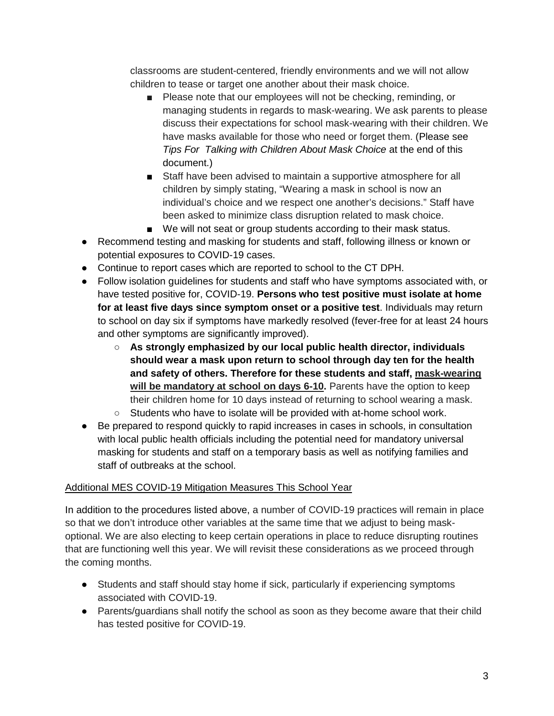classrooms are student-centered, friendly environments and we will not allow children to tease or target one another about their mask choice.

- Please note that our employees will not be checking, reminding, or managing students in regards to mask-wearing. We ask parents to please discuss their expectations for school mask-wearing with their children. We have masks available for those who need or forget them. (Please see *Tips For Talking with Children About Mask Choice* at the end of this document.)
- Staff have been advised to maintain a supportive atmosphere for all children by simply stating, "Wearing a mask in school is now an individual's choice and we respect one another's decisions." Staff have been asked to minimize class disruption related to mask choice.
- We will not seat or group students according to their mask status.
- Recommend testing and masking for students and staff, following illness or known or potential exposures to COVID-19 cases.
- Continue to report cases which are reported to school to the CT DPH.
- Follow isolation guidelines for students and staff who have symptoms associated with, or have tested positive for, COVID-19. **Persons who test positive must isolate at home for at least five days since symptom onset or a positive test**. Individuals may return to school on day six if symptoms have markedly resolved (fever-free for at least 24 hours and other symptoms are significantly improved).
	- **As strongly emphasized by our local public health director, individuals should wear a mask upon return to school through day ten for the health and safety of others. Therefore for these students and staff, mask-wearing will be mandatory at school on days 6-10.** Parents have the option to keep their children home for 10 days instead of returning to school wearing a mask.
	- Students who have to isolate will be provided with at-home school work.
- Be prepared to respond quickly to rapid increases in cases in schools, in consultation with local public health officials including the potential need for mandatory universal masking for students and staff on a temporary basis as well as notifying families and staff of outbreaks at the school.

### Additional MES COVID-19 Mitigation Measures This School Year

In addition to the procedures listed above, a number of COVID-19 practices will remain in place so that we don't introduce other variables at the same time that we adjust to being maskoptional. We are also electing to keep certain operations in place to reduce disrupting routines that are functioning well this year. We will revisit these considerations as we proceed through the coming months.

- Students and staff should stay home if sick, particularly if experiencing symptoms associated with COVID-19.
- Parents/guardians shall notify the school as soon as they become aware that their child has tested positive for COVID-19.